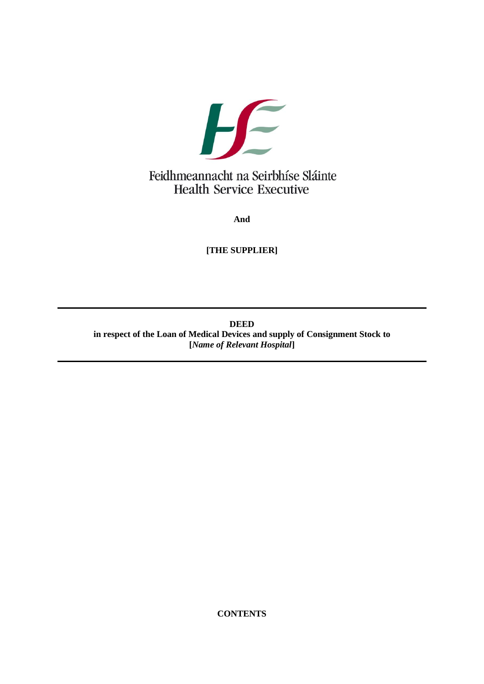

**And**

**[THE SUPPLIER]**

**DEED in respect of the Loan of Medical Devices and supply of Consignment Stock to [***Name of Relevant Hospital***]**

**CONTENTS**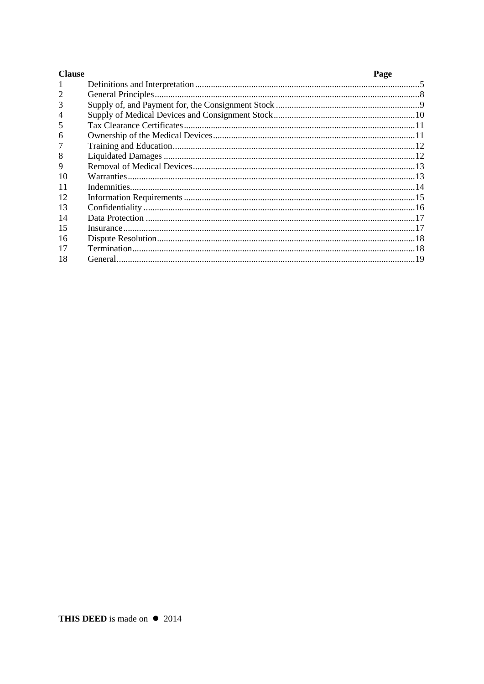| <b>Clause</b> | Page |
|---------------|------|
|               |      |
|               |      |
| 3             |      |
|               |      |
| 5             |      |
| 6             |      |
|               |      |
| 8             |      |
| 9             |      |
| 10            |      |
| 11            |      |
| 12            |      |
| 13            |      |
| 14            |      |
| 15            |      |
| 16            |      |
| 17            |      |
| 18            |      |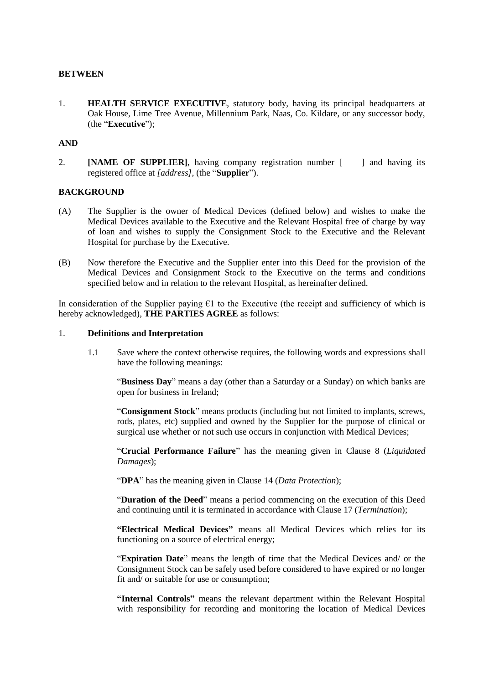### <span id="page-2-0"></span>**BETWEEN**

1. **HEALTH SERVICE EXECUTIVE**, statutory body, having its principal headquarters at Oak House, Lime Tree Avenue, Millennium Park, Naas, Co. Kildare, or any successor body, (the "**Executive**");

## **AND**

2. **[NAME OF SUPPLIER]**, having company registration number [ ] and having its registered office at *[address]*, (the "**Supplier**").

#### **BACKGROUND**

- (A) The Supplier is the owner of Medical Devices (defined below) and wishes to make the Medical Devices available to the Executive and the Relevant Hospital free of charge by way of loan and wishes to supply the Consignment Stock to the Executive and the Relevant Hospital for purchase by the Executive.
- (B) Now therefore the Executive and the Supplier enter into this Deed for the provision of the Medical Devices and Consignment Stock to the Executive on the terms and conditions specified below and in relation to the relevant Hospital, as hereinafter defined.

In consideration of the Supplier paying  $\epsilon$ 1 to the Executive (the receipt and sufficiency of which is hereby acknowledged), **THE PARTIES AGREE** as follows:

### 1. **Definitions and Interpretation**

1.1 Save where the context otherwise requires, the following words and expressions shall have the following meanings:

"**Business Day**" means a day (other than a Saturday or a Sunday) on which banks are open for business in Ireland;

"**Consignment Stock**" means products (including but not limited to implants, screws, rods, plates, etc) supplied and owned by the Supplier for the purpose of clinical or surgical use whether or not such use occurs in conjunction with Medical Devices;

"**Crucial Performance Failure**" has the meaning given in Clause [8](#page-9-1) (*Liquidated Damages*);

"**DPA**" has the meaning given in Clause [14](#page-14-1) (*Data Protection*);

"**Duration of the Deed**" means a period commencing on the execution of this Deed and continuing until it is terminated in accordance with Clause [17](#page-15-1) (*Termination*);

**"Electrical Medical Devices"** means all Medical Devices which relies for its functioning on a source of electrical energy;

"**Expiration Date**" means the length of time that the Medical Devices and/ or the Consignment Stock can be safely used before considered to have expired or no longer fit and/ or suitable for use or consumption;

**"Internal Controls"** means the relevant department within the Relevant Hospital with responsibility for recording and monitoring the location of Medical Devices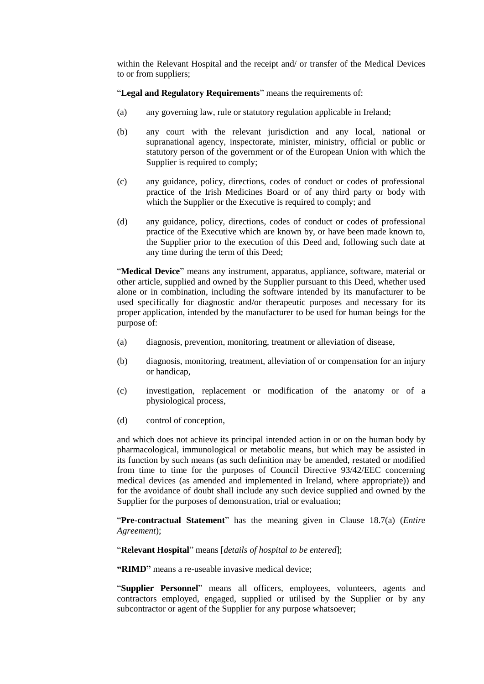within the Relevant Hospital and the receipt and/ or transfer of the Medical Devices to or from suppliers;

"**Legal and Regulatory Requirements**" means the requirements of:

- (a) any governing law, rule or statutory regulation applicable in Ireland;
- (b) any court with the relevant jurisdiction and any local, national or supranational agency, inspectorate, minister, ministry, official or public or statutory person of the government or of the European Union with which the Supplier is required to comply;
- (c) any guidance, policy, directions, codes of conduct or codes of professional practice of the Irish Medicines Board or of any third party or body with which the Supplier or the Executive is required to comply; and
- (d) any guidance, policy, directions, codes of conduct or codes of professional practice of the Executive which are known by, or have been made known to, the Supplier prior to the execution of this Deed and, following such date at any time during the term of this Deed;

"**Medical Device**" means any instrument, apparatus, appliance, software, material or other article, supplied and owned by the Supplier pursuant to this Deed, whether used alone or in combination, including the software intended by its manufacturer to be used specifically for diagnostic and/or therapeutic purposes and necessary for its proper application, intended by the manufacturer to be used for human beings for the purpose of:

- (a) diagnosis, prevention, monitoring, treatment or alleviation of disease,
- (b) diagnosis, monitoring, treatment, alleviation of or compensation for an injury or handicap,
- (c) investigation, replacement or modification of the anatomy or of a physiological process,
- (d) control of conception,

and which does not achieve its principal intended action in or on the human body by pharmacological, immunological or metabolic means, but which may be assisted in its function by such means (as such definition may be amended, restated or modified from time to time for the purposes of Council Directive 93/42/EEC concerning medical devices (as amended and implemented in Ireland, where appropriate)) and for the avoidance of doubt shall include any such device supplied and owned by the Supplier for the purposes of demonstration, trial or evaluation;

"**Pre-contractual Statement**" has the meaning given in Clause [18.7\(a\)](#page-18-0) (*Entire Agreement*);

"**Relevant Hospital**" means [*details of hospital to be entered*];

**"RIMD"** means a re-useable invasive medical device;

"**Supplier Personnel**" means all officers, employees, volunteers, agents and contractors employed, engaged, supplied or utilised by the Supplier or by any subcontractor or agent of the Supplier for any purpose whatsoever;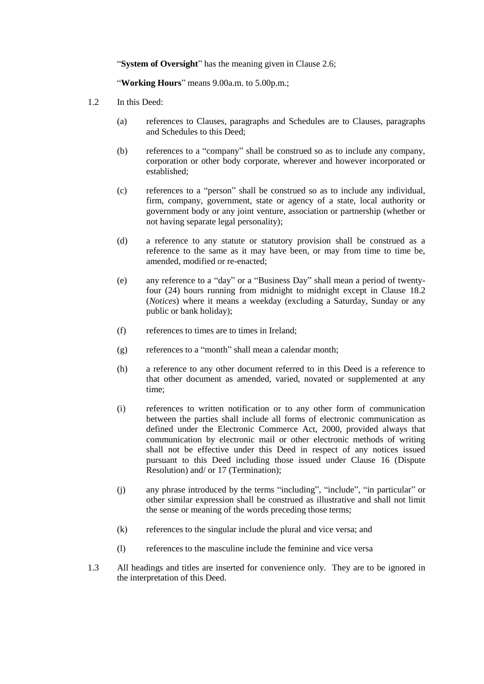"**System of Oversight**" has the meaning given in Clause [2.6;](#page-5-1)

"**Working Hours**" means 9.00a.m. to 5.00p.m.;

- 1.2 In this Deed:
	- (a) references to Clauses, paragraphs and Schedules are to Clauses, paragraphs and Schedules to this Deed;
	- (b) references to a "company" shall be construed so as to include any company, corporation or other body corporate, wherever and however incorporated or established;
	- (c) references to a "person" shall be construed so as to include any individual, firm, company, government, state or agency of a state, local authority or government body or any joint venture, association or partnership (whether or not having separate legal personality);
	- (d) a reference to any statute or statutory provision shall be construed as a reference to the same as it may have been, or may from time to time be, amended, modified or re-enacted;
	- (e) any reference to a "day" or a "Business Day" shall mean a period of twentyfour (24) hours running from midnight to midnight except in Clause [18.2](#page-16-1) (*Notices*) where it means a weekday (excluding a Saturday, Sunday or any public or bank holiday);
	- (f) references to times are to times in Ireland;
	- (g) references to a "month" shall mean a calendar month;
	- (h) a reference to any other document referred to in this Deed is a reference to that other document as amended, varied, novated or supplemented at any time;
	- (i) references to written notification or to any other form of communication between the parties shall include all forms of electronic communication as defined under the Electronic Commerce Act, 2000, provided always that communication by electronic mail or other electronic methods of writing shall not be effective under this Deed in respect of any notices issued pursuant to this Deed including those issued under Clause [16](#page-15-2) (Dispute Resolution) and/ o[r 17](#page-15-1) (Termination);
	- (j) any phrase introduced by the terms "including", "include", "in particular" or other similar expression shall be construed as illustrative and shall not limit the sense or meaning of the words preceding those terms;
	- (k) references to the singular include the plural and vice versa; and
	- (l) references to the masculine include the feminine and vice versa
- 1.3 All headings and titles are inserted for convenience only. They are to be ignored in the interpretation of this Deed.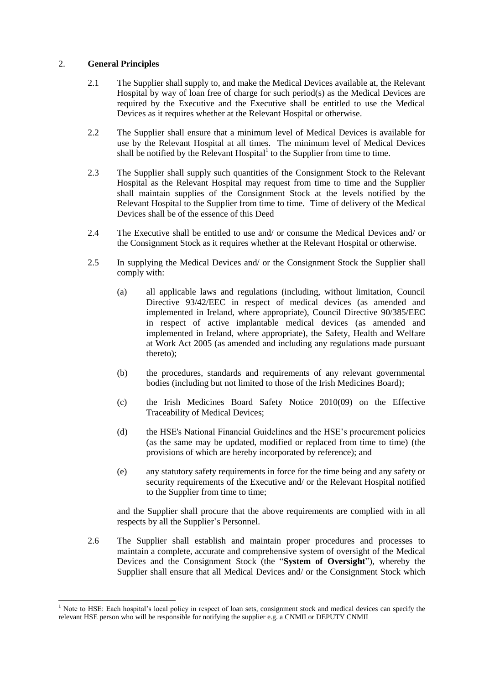## <span id="page-5-0"></span>2. **General Principles**

-

- 2.1 The Supplier shall supply to, and make the Medical Devices available at, the Relevant Hospital by way of loan free of charge for such period(s) as the Medical Devices are required by the Executive and the Executive shall be entitled to use the Medical Devices as it requires whether at the Relevant Hospital or otherwise.
- 2.2 The Supplier shall ensure that a minimum level of Medical Devices is available for use by the Relevant Hospital at all times. The minimum level of Medical Devices shall be notified by the Relevant Hospital $<sup>1</sup>$  to the Supplier from time to time.</sup>
- 2.3 The Supplier shall supply such quantities of the Consignment Stock to the Relevant Hospital as the Relevant Hospital may request from time to time and the Supplier shall maintain supplies of the Consignment Stock at the levels notified by the Relevant Hospital to the Supplier from time to time. Time of delivery of the Medical Devices shall be of the essence of this Deed
- 2.4 The Executive shall be entitled to use and/ or consume the Medical Devices and/ or the Consignment Stock as it requires whether at the Relevant Hospital or otherwise.
- 2.5 In supplying the Medical Devices and/ or the Consignment Stock the Supplier shall comply with:
	- (a) all applicable laws and regulations (including, without limitation, Council Directive 93/42/EEC in respect of medical devices (as amended and implemented in Ireland, where appropriate), Council Directive 90/385/EEC in respect of active implantable medical devices (as amended and implemented in Ireland, where appropriate), the Safety, Health and Welfare at Work Act 2005 (as amended and including any regulations made pursuant thereto);
	- (b) the procedures, standards and requirements of any relevant governmental bodies (including but not limited to those of the Irish Medicines Board);
	- (c) the Irish Medicines Board Safety Notice 2010(09) on the Effective Traceability of Medical Devices;
	- (d) the HSE's National Financial Guidelines and the HSE's procurement policies (as the same may be updated, modified or replaced from time to time) (the provisions of which are hereby incorporated by reference); and
	- (e) any statutory safety requirements in force for the time being and any safety or security requirements of the Executive and/ or the Relevant Hospital notified to the Supplier from time to time;

and the Supplier shall procure that the above requirements are complied with in all respects by all the Supplier's Personnel.

<span id="page-5-1"></span>2.6 The Supplier shall establish and maintain proper procedures and processes to maintain a complete, accurate and comprehensive system of oversight of the Medical Devices and the Consignment Stock (the "**System of Oversight**"), whereby the Supplier shall ensure that all Medical Devices and/ or the Consignment Stock which

Note to HSE: Each hospital's local policy in respect of loan sets, consignment stock and medical devices can specify the relevant HSE person who will be responsible for notifying the supplier e.g. a CNMII or DEPUTY CNMII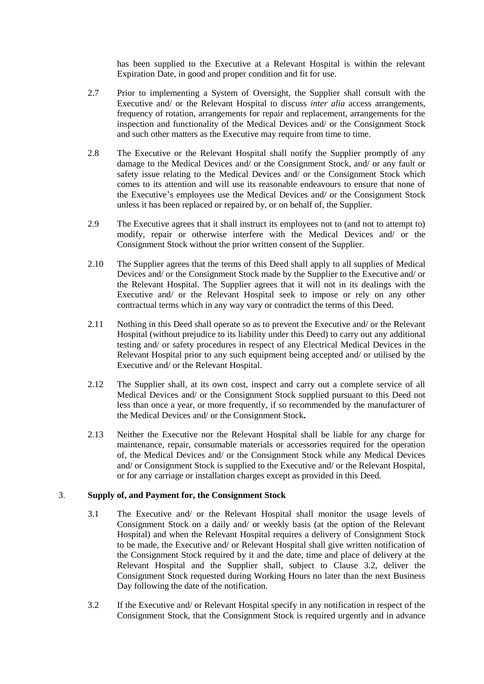has been supplied to the Executive at a Relevant Hospital is within the relevant Expiration Date, in good and proper condition and fit for use.

- <span id="page-6-0"></span>2.7 Prior to implementing a System of Oversight, the Supplier shall consult with the Executive and/ or the Relevant Hospital to discuss *inter alia* access arrangements, frequency of rotation, arrangements for repair and replacement, arrangements for the inspection and functionality of the Medical Devices and/ or the Consignment Stock and such other matters as the Executive may require from time to time.
- 2.8 The Executive or the Relevant Hospital shall notify the Supplier promptly of any damage to the Medical Devices and/ or the Consignment Stock, and/ or any fault or safety issue relating to the Medical Devices and/ or the Consignment Stock which comes to its attention and will use its reasonable endeavours to ensure that none of the Executive's employees use the Medical Devices and/ or the Consignment Stock unless it has been replaced or repaired by, or on behalf of, the Supplier.
- 2.9 The Executive agrees that it shall instruct its employees not to (and not to attempt to) modify, repair or otherwise interfere with the Medical Devices and/ or the Consignment Stock without the prior written consent of the Supplier.
- 2.10 The Supplier agrees that the terms of this Deed shall apply to all supplies of Medical Devices and/ or the Consignment Stock made by the Supplier to the Executive and/ or the Relevant Hospital. The Supplier agrees that it will not in its dealings with the Executive and/ or the Relevant Hospital seek to impose or rely on any other contractual terms which in any way vary or contradict the terms of this Deed.
- 2.11 Nothing in this Deed shall operate so as to prevent the Executive and/ or the Relevant Hospital (without prejudice to its liability under this Deed) to carry out any additional testing and/ or safety procedures in respect of any Electrical Medical Devices in the Relevant Hospital prior to any such equipment being accepted and/ or utilised by the Executive and/ or the Relevant Hospital.
- 2.12 The Supplier shall, at its own cost, inspect and carry out a complete service of all Medical Devices and/ or the Consignment Stock supplied pursuant to this Deed not less than once a year, or more frequently, if so recommended by the manufacturer of the Medical Devices and/ or the Consignment Stock**.**
- 2.13 Neither the Executive nor the Relevant Hospital shall be liable for any charge for maintenance, repair, consumable materials or accessories required for the operation of, the Medical Devices and/ or the Consignment Stock while any Medical Devices and/ or Consignment Stock is supplied to the Executive and/ or the Relevant Hospital, or for any carriage or installation charges except as provided in this Deed.

### 3. **Supply of, and Payment for, the Consignment Stock**

- 3.1 The Executive and/ or the Relevant Hospital shall monitor the usage levels of Consignment Stock on a daily and/ or weekly basis (at the option of the Relevant Hospital) and when the Relevant Hospital requires a delivery of Consignment Stock to be made, the Executive and/ or Relevant Hospital shall give written notification of the Consignment Stock required by it and the date, time and place of delivery at the Relevant Hospital and the Supplier shall, subject to Clause [3.2,](#page-6-1) deliver the Consignment Stock requested during Working Hours no later than the next Business Day following the date of the notification.
- <span id="page-6-1"></span>3.2 If the Executive and/ or Relevant Hospital specify in any notification in respect of the Consignment Stock, that the Consignment Stock is required urgently and in advance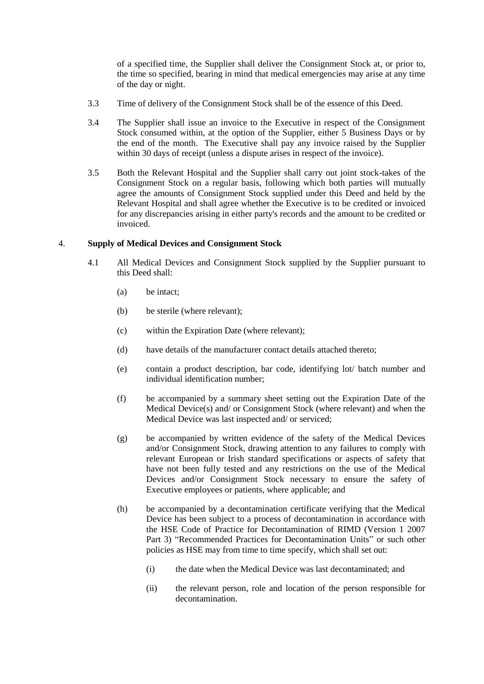<span id="page-7-0"></span>of a specified time, the Supplier shall deliver the Consignment Stock at, or prior to, the time so specified, bearing in mind that medical emergencies may arise at any time of the day or night.

- 3.3 Time of delivery of the Consignment Stock shall be of the essence of this Deed.
- 3.4 The Supplier shall issue an invoice to the Executive in respect of the Consignment Stock consumed within, at the option of the Supplier, either 5 Business Days or by the end of the month. The Executive shall pay any invoice raised by the Supplier within 30 days of receipt (unless a dispute arises in respect of the invoice).
- 3.5 Both the Relevant Hospital and the Supplier shall carry out joint stock-takes of the Consignment Stock on a regular basis, following which both parties will mutually agree the amounts of Consignment Stock supplied under this Deed and held by the Relevant Hospital and shall agree whether the Executive is to be credited or invoiced for any discrepancies arising in either party's records and the amount to be credited or invoiced.

## 4. **Supply of Medical Devices and Consignment Stock**

- <span id="page-7-2"></span><span id="page-7-1"></span>4.1 All Medical Devices and Consignment Stock supplied by the Supplier pursuant to this Deed shall:
	- (a) be intact;
	- (b) be sterile (where relevant);
	- (c) within the Expiration Date (where relevant);
	- (d) have details of the manufacturer contact details attached thereto;
	- (e) contain a product description, bar code, identifying lot/ batch number and individual identification number;
	- (f) be accompanied by a summary sheet setting out the Expiration Date of the Medical Device(s) and/ or Consignment Stock (where relevant) and when the Medical Device was last inspected and/ or serviced;
	- (g) be accompanied by written evidence of the safety of the Medical Devices and/or Consignment Stock, drawing attention to any failures to comply with relevant European or Irish standard specifications or aspects of safety that have not been fully tested and any restrictions on the use of the Medical Devices and/or Consignment Stock necessary to ensure the safety of Executive employees or patients, where applicable; and
	- (h) be accompanied by a decontamination certificate verifying that the Medical Device has been subject to a process of decontamination in accordance with the HSE Code of Practice for Decontamination of RIMD (Version 1 2007 Part 3) "Recommended Practices for Decontamination Units" or such other policies as HSE may from time to time specify, which shall set out:
		- (i) the date when the Medical Device was last decontaminated; and
		- (ii) the relevant person, role and location of the person responsible for decontamination.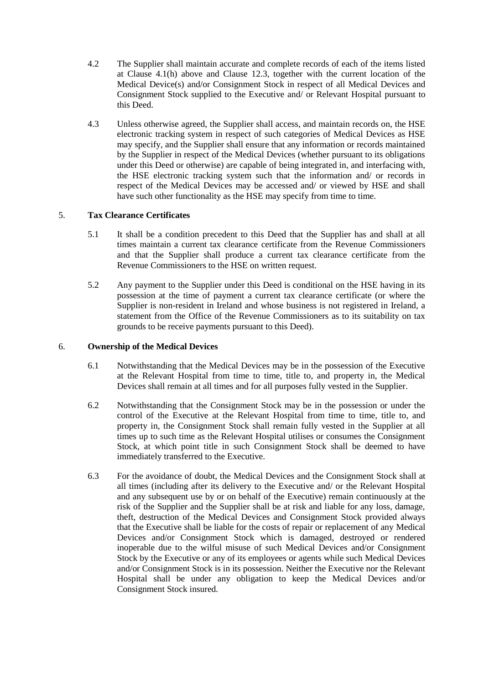- <span id="page-8-0"></span>4.2 The Supplier shall maintain accurate and complete records of each of the items listed at Clause [4.1\(h\)](#page-7-1) above and Clause [12.3,](#page-12-1) together with the current location of the Medical Device(s) and/or Consignment Stock in respect of all Medical Devices and Consignment Stock supplied to the Executive and/ or Relevant Hospital pursuant to this Deed.
- 4.3 Unless otherwise agreed, the Supplier shall access, and maintain records on, the HSE electronic tracking system in respect of such categories of Medical Devices as HSE may specify, and the Supplier shall ensure that any information or records maintained by the Supplier in respect of the Medical Devices (whether pursuant to its obligations under this Deed or otherwise) are capable of being integrated in, and interfacing with, the HSE electronic tracking system such that the information and/ or records in respect of the Medical Devices may be accessed and/ or viewed by HSE and shall have such other functionality as the HSE may specify from time to time.

# 5. **Tax Clearance Certificates**

- 5.1 It shall be a condition precedent to this Deed that the Supplier has and shall at all times maintain a current tax clearance certificate from the Revenue Commissioners and that the Supplier shall produce a current tax clearance certificate from the Revenue Commissioners to the HSE on written request.
- 5.2 Any payment to the Supplier under this Deed is conditional on the HSE having in its possession at the time of payment a current tax clearance certificate (or where the Supplier is non-resident in Ireland and whose business is not registered in Ireland, a statement from the Office of the Revenue Commissioners as to its suitability on tax grounds to be receive payments pursuant to this Deed).

### 6. **Ownership of the Medical Devices**

- 6.1 Notwithstanding that the Medical Devices may be in the possession of the Executive at the Relevant Hospital from time to time, title to, and property in, the Medical Devices shall remain at all times and for all purposes fully vested in the Supplier.
- 6.2 Notwithstanding that the Consignment Stock may be in the possession or under the control of the Executive at the Relevant Hospital from time to time, title to, and property in, the Consignment Stock shall remain fully vested in the Supplier at all times up to such time as the Relevant Hospital utilises or consumes the Consignment Stock, at which point title in such Consignment Stock shall be deemed to have immediately transferred to the Executive.
- 6.3 For the avoidance of doubt, the Medical Devices and the Consignment Stock shall at all times (including after its delivery to the Executive and/ or the Relevant Hospital and any subsequent use by or on behalf of the Executive) remain continuously at the risk of the Supplier and the Supplier shall be at risk and liable for any loss, damage, theft, destruction of the Medical Devices and Consignment Stock provided always that the Executive shall be liable for the costs of repair or replacement of any Medical Devices and/or Consignment Stock which is damaged, destroyed or rendered inoperable due to the wilful misuse of such Medical Devices and/or Consignment Stock by the Executive or any of its employees or agents while such Medical Devices and/or Consignment Stock is in its possession. Neither the Executive nor the Relevant Hospital shall be under any obligation to keep the Medical Devices and/or Consignment Stock insured.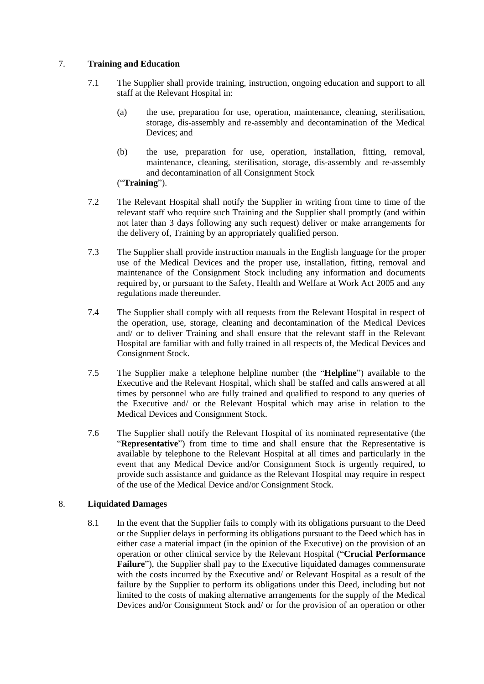## <span id="page-9-0"></span>7. **Training and Education**

- 7.1 The Supplier shall provide training, instruction, ongoing education and support to all staff at the Relevant Hospital in:
	- (a) the use, preparation for use, operation, maintenance, cleaning, sterilisation, storage, dis-assembly and re-assembly and decontamination of the Medical Devices; and
	- (b) the use, preparation for use, operation, installation, fitting, removal, maintenance, cleaning, sterilisation, storage, dis-assembly and re-assembly and decontamination of all Consignment Stock

("**Training**").

- 7.2 The Relevant Hospital shall notify the Supplier in writing from time to time of the relevant staff who require such Training and the Supplier shall promptly (and within not later than 3 days following any such request) deliver or make arrangements for the delivery of, Training by an appropriately qualified person.
- 7.3 The Supplier shall provide instruction manuals in the English language for the proper use of the Medical Devices and the proper use, installation, fitting, removal and maintenance of the Consignment Stock including any information and documents required by, or pursuant to the Safety, Health and Welfare at Work Act 2005 and any regulations made thereunder.
- 7.4 The Supplier shall comply with all requests from the Relevant Hospital in respect of the operation, use, storage, cleaning and decontamination of the Medical Devices and/ or to deliver Training and shall ensure that the relevant staff in the Relevant Hospital are familiar with and fully trained in all respects of, the Medical Devices and Consignment Stock.
- 7.5 The Supplier make a telephone helpline number (the "**Helpline**") available to the Executive and the Relevant Hospital, which shall be staffed and calls answered at all times by personnel who are fully trained and qualified to respond to any queries of the Executive and/ or the Relevant Hospital which may arise in relation to the Medical Devices and Consignment Stock.
- 7.6 The Supplier shall notify the Relevant Hospital of its nominated representative (the "**Representative**") from time to time and shall ensure that the Representative is available by telephone to the Relevant Hospital at all times and particularly in the event that any Medical Device and/or Consignment Stock is urgently required, to provide such assistance and guidance as the Relevant Hospital may require in respect of the use of the Medical Device and/or Consignment Stock.

# <span id="page-9-1"></span>8. **Liquidated Damages**

8.1 In the event that the Supplier fails to comply with its obligations pursuant to the Deed or the Supplier delays in performing its obligations pursuant to the Deed which has in either case a material impact (in the opinion of the Executive) on the provision of an operation or other clinical service by the Relevant Hospital ("**Crucial Performance**  Failure"), the Supplier shall pay to the Executive liquidated damages commensurate with the costs incurred by the Executive and/ or Relevant Hospital as a result of the failure by the Supplier to perform its obligations under this Deed, including but not limited to the costs of making alternative arrangements for the supply of the Medical Devices and/or Consignment Stock and/ or for the provision of an operation or other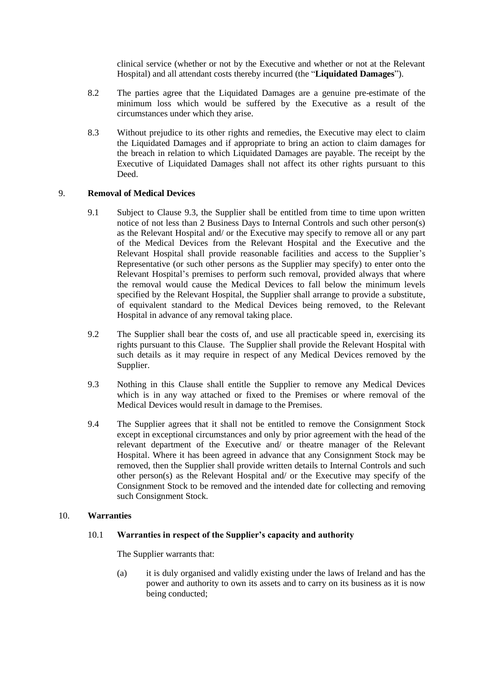clinical service (whether or not by the Executive and whether or not at the Relevant Hospital) and all attendant costs thereby incurred (the "**Liquidated Damages**").

- <span id="page-10-0"></span>8.2 The parties agree that the Liquidated Damages are a genuine pre-estimate of the minimum loss which would be suffered by the Executive as a result of the circumstances under which they arise.
- 8.3 Without prejudice to its other rights and remedies, the Executive may elect to claim the Liquidated Damages and if appropriate to bring an action to claim damages for the breach in relation to which Liquidated Damages are payable. The receipt by the Executive of Liquidated Damages shall not affect its other rights pursuant to this Deed.

## 9. **Removal of Medical Devices**

- 9.1 Subject to Clause [9.3,](#page-10-1) the Supplier shall be entitled from time to time upon written notice of not less than 2 Business Days to Internal Controls and such other person(s) as the Relevant Hospital and/ or the Executive may specify to remove all or any part of the Medical Devices from the Relevant Hospital and the Executive and the Relevant Hospital shall provide reasonable facilities and access to the Supplier's Representative (or such other persons as the Supplier may specify) to enter onto the Relevant Hospital's premises to perform such removal, provided always that where the removal would cause the Medical Devices to fall below the minimum levels specified by the Relevant Hospital, the Supplier shall arrange to provide a substitute, of equivalent standard to the Medical Devices being removed, to the Relevant Hospital in advance of any removal taking place.
- 9.2 The Supplier shall bear the costs of, and use all practicable speed in, exercising its rights pursuant to this Clause. The Supplier shall provide the Relevant Hospital with such details as it may require in respect of any Medical Devices removed by the Supplier.
- <span id="page-10-1"></span>9.3 Nothing in this Clause shall entitle the Supplier to remove any Medical Devices which is in any way attached or fixed to the Premises or where removal of the Medical Devices would result in damage to the Premises.
- 9.4 The Supplier agrees that it shall not be entitled to remove the Consignment Stock except in exceptional circumstances and only by prior agreement with the head of the relevant department of the Executive and/ or theatre manager of the Relevant Hospital. Where it has been agreed in advance that any Consignment Stock may be removed, then the Supplier shall provide written details to Internal Controls and such other person(s) as the Relevant Hospital and/ or the Executive may specify of the Consignment Stock to be removed and the intended date for collecting and removing such Consignment Stock.

### 10. **Warranties**

### 10.1 **Warranties in respect of the Supplier's capacity and authority**

The Supplier warrants that:

(a) it is duly organised and validly existing under the laws of Ireland and has the power and authority to own its assets and to carry on its business as it is now being conducted;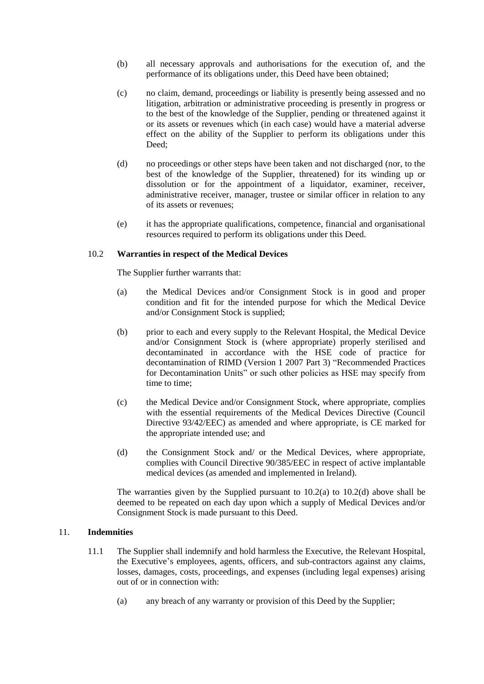- <span id="page-11-0"></span>(b) all necessary approvals and authorisations for the execution of, and the performance of its obligations under, this Deed have been obtained;
- (c) no claim, demand, proceedings or liability is presently being assessed and no litigation, arbitration or administrative proceeding is presently in progress or to the best of the knowledge of the Supplier, pending or threatened against it or its assets or revenues which (in each case) would have a material adverse effect on the ability of the Supplier to perform its obligations under this Deed;
- (d) no proceedings or other steps have been taken and not discharged (nor, to the best of the knowledge of the Supplier, threatened) for its winding up or dissolution or for the appointment of a liquidator, examiner, receiver, administrative receiver, manager, trustee or similar officer in relation to any of its assets or revenues;
- (e) it has the appropriate qualifications, competence, financial and organisational resources required to perform its obligations under this Deed.

### <span id="page-11-1"></span>10.2 **Warranties in respect of the Medical Devices**

The Supplier further warrants that:

- (a) the Medical Devices and/or Consignment Stock is in good and proper condition and fit for the intended purpose for which the Medical Device and/or Consignment Stock is supplied;
- (b) prior to each and every supply to the Relevant Hospital, the Medical Device and/or Consignment Stock is (where appropriate) properly sterilised and decontaminated in accordance with the HSE code of practice for decontamination of RIMD (Version 1 2007 Part 3) "Recommended Practices for Decontamination Units" or such other policies as HSE may specify from time to time;
- (c) the Medical Device and/or Consignment Stock, where appropriate, complies with the essential requirements of the Medical Devices Directive (Council Directive 93/42/EEC) as amended and where appropriate, is CE marked for the appropriate intended use; and
- (d) the Consignment Stock and/ or the Medical Devices, where appropriate, complies with Council Directive 90/385/EEC in respect of active implantable medical devices (as amended and implemented in Ireland).

The warranties given by the Supplied pursuant to  $10.2(a)$  to  $10.2(d)$  above shall be deemed to be repeated on each day upon which a supply of Medical Devices and/or Consignment Stock is made pursuant to this Deed.

### <span id="page-11-2"></span>11. **Indemnities**

- 11.1 The Supplier shall indemnify and hold harmless the Executive, the Relevant Hospital, the Executive's employees, agents, officers, and sub-contractors against any claims, losses, damages, costs, proceedings, and expenses (including legal expenses) arising out of or in connection with:
	- (a) any breach of any warranty or provision of this Deed by the Supplier;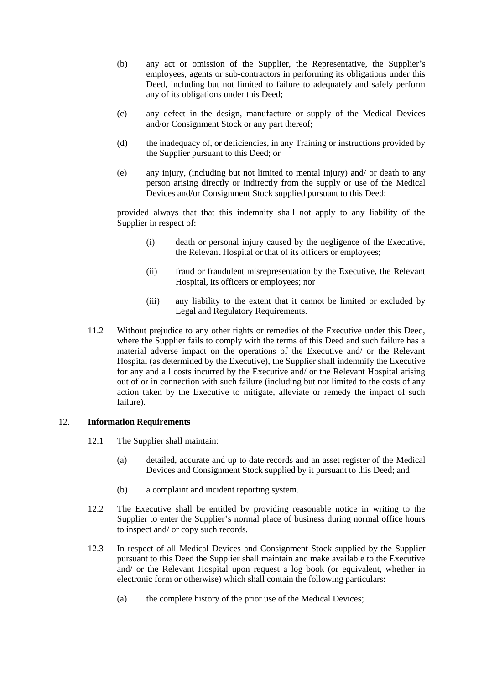- <span id="page-12-0"></span>(b) any act or omission of the Supplier, the Representative, the Supplier's employees, agents or sub-contractors in performing its obligations under this Deed, including but not limited to failure to adequately and safely perform any of its obligations under this Deed;
- (c) any defect in the design, manufacture or supply of the Medical Devices and/or Consignment Stock or any part thereof;
- (d) the inadequacy of, or deficiencies, in any Training or instructions provided by the Supplier pursuant to this Deed; or
- (e) any injury, (including but not limited to mental injury) and/ or death to any person arising directly or indirectly from the supply or use of the Medical Devices and/or Consignment Stock supplied pursuant to this Deed;

provided always that that this indemnity shall not apply to any liability of the Supplier in respect of:

- (i) death or personal injury caused by the negligence of the Executive, the Relevant Hospital or that of its officers or employees;
- (ii) fraud or fraudulent misrepresentation by the Executive, the Relevant Hospital, its officers or employees; nor
- (iii) any liability to the extent that it cannot be limited or excluded by Legal and Regulatory Requirements.
- 11.2 Without prejudice to any other rights or remedies of the Executive under this Deed, where the Supplier fails to comply with the terms of this Deed and such failure has a material adverse impact on the operations of the Executive and/ or the Relevant Hospital (as determined by the Executive), the Supplier shall indemnify the Executive for any and all costs incurred by the Executive and/ or the Relevant Hospital arising out of or in connection with such failure (including but not limited to the costs of any action taken by the Executive to mitigate, alleviate or remedy the impact of such failure).

### <span id="page-12-2"></span>12. **Information Requirements**

- 12.1 The Supplier shall maintain:
	- (a) detailed, accurate and up to date records and an asset register of the Medical Devices and Consignment Stock supplied by it pursuant to this Deed; and
	- (b) a complaint and incident reporting system.
- 12.2 The Executive shall be entitled by providing reasonable notice in writing to the Supplier to enter the Supplier's normal place of business during normal office hours to inspect and/ or copy such records.
- <span id="page-12-1"></span>12.3 In respect of all Medical Devices and Consignment Stock supplied by the Supplier pursuant to this Deed the Supplier shall maintain and make available to the Executive and/ or the Relevant Hospital upon request a log book (or equivalent, whether in electronic form or otherwise) which shall contain the following particulars:
	- (a) the complete history of the prior use of the Medical Devices;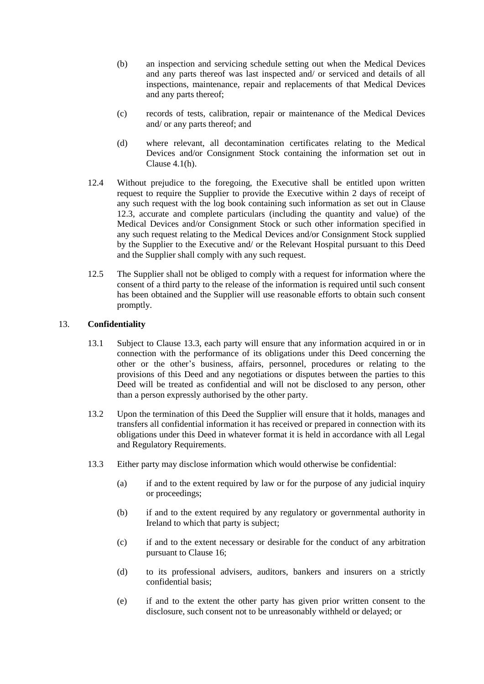- <span id="page-13-0"></span>(b) an inspection and servicing schedule setting out when the Medical Devices and any parts thereof was last inspected and/ or serviced and details of all inspections, maintenance, repair and replacements of that Medical Devices and any parts thereof;
- (c) records of tests, calibration, repair or maintenance of the Medical Devices and/ or any parts thereof; and
- (d) where relevant, all decontamination certificates relating to the Medical Devices and/or Consignment Stock containing the information set out in Claus[e 4.1\(h\).](#page-7-2)
- 12.4 Without prejudice to the foregoing, the Executive shall be entitled upon written request to require the Supplier to provide the Executive within 2 days of receipt of any such request with the log book containing such information as set out in Clause [12.3,](#page-12-1) accurate and complete particulars (including the quantity and value) of the Medical Devices and/or Consignment Stock or such other information specified in any such request relating to the Medical Devices and/or Consignment Stock supplied by the Supplier to the Executive and/ or the Relevant Hospital pursuant to this Deed and the Supplier shall comply with any such request.
- 12.5 The Supplier shall not be obliged to comply with a request for information where the consent of a third party to the release of the information is required until such consent has been obtained and the Supplier will use reasonable efforts to obtain such consent promptly.

### <span id="page-13-2"></span>13. **Confidentiality**

- 13.1 Subject to Clause [13.3,](#page-13-1) each party will ensure that any information acquired in or in connection with the performance of its obligations under this Deed concerning the other or the other's business, affairs, personnel, procedures or relating to the provisions of this Deed and any negotiations or disputes between the parties to this Deed will be treated as confidential and will not be disclosed to any person, other than a person expressly authorised by the other party.
- 13.2 Upon the termination of this Deed the Supplier will ensure that it holds, manages and transfers all confidential information it has received or prepared in connection with its obligations under this Deed in whatever format it is held in accordance with all Legal and Regulatory Requirements.
- <span id="page-13-1"></span>13.3 Either party may disclose information which would otherwise be confidential:
	- (a) if and to the extent required by law or for the purpose of any judicial inquiry or proceedings;
	- (b) if and to the extent required by any regulatory or governmental authority in Ireland to which that party is subject;
	- (c) if and to the extent necessary or desirable for the conduct of any arbitration pursuant to Clause [16;](#page-15-2)
	- (d) to its professional advisers, auditors, bankers and insurers on a strictly confidential basis;
	- (e) if and to the extent the other party has given prior written consent to the disclosure, such consent not to be unreasonably withheld or delayed; or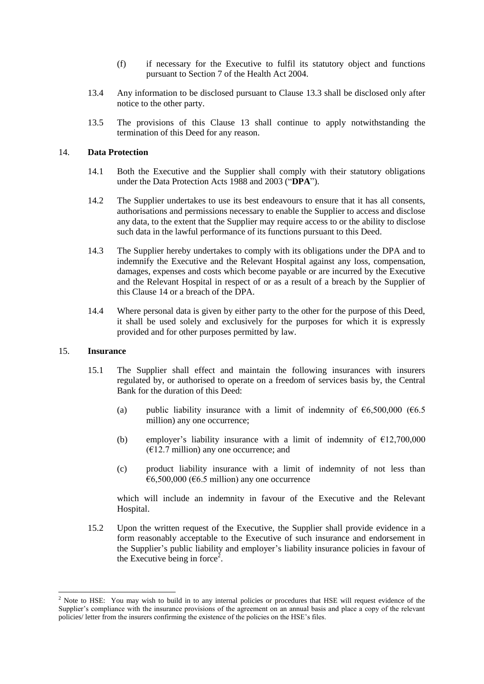- (f) if necessary for the Executive to fulfil its statutory object and functions pursuant to Section 7 of the Health Act 2004.
- <span id="page-14-0"></span>13.4 Any information to be disclosed pursuant to Clause [13.3](#page-13-1) shall be disclosed only after notice to the other party.
- 13.5 The provisions of this Clause [13](#page-13-2) shall continue to apply notwithstanding the termination of this Deed for any reason.

#### <span id="page-14-1"></span>14. **Data Protection**

- 14.1 Both the Executive and the Supplier shall comply with their statutory obligations under the Data Protection Acts 1988 and 2003 ("**DPA**").
- 14.2 The Supplier undertakes to use its best endeavours to ensure that it has all consents, authorisations and permissions necessary to enable the Supplier to access and disclose any data, to the extent that the Supplier may require access to or the ability to disclose such data in the lawful performance of its functions pursuant to this Deed.
- 14.3 The Supplier hereby undertakes to comply with its obligations under the DPA and to indemnify the Executive and the Relevant Hospital against any loss, compensation, damages, expenses and costs which become payable or are incurred by the Executive and the Relevant Hospital in respect of or as a result of a breach by the Supplier of this Clause [14](#page-14-1) or a breach of the DPA.
- 14.4 Where personal data is given by either party to the other for the purpose of this Deed, it shall be used solely and exclusively for the purposes for which it is expressly provided and for other purposes permitted by law.

#### 15. **Insurance**

1

- 15.1 The Supplier shall effect and maintain the following insurances with insurers regulated by, or authorised to operate on a freedom of services basis by, the Central Bank for the duration of this Deed:
	- (a) public liability insurance with a limit of indemnity of  $\epsilon$ 6,500,000 ( $\epsilon$ 6.5 million) any one occurrence;
	- (b) employer's liability insurance with a limit of indemnity of  $\text{\textsterling}12,700,000$  $(E12.7 \text{ million})$  any one occurrence; and
	- (c) product liability insurance with a limit of indemnity of not less than  $€6,500,000$  (€6.5 million) any one occurrence

which will include an indemnity in favour of the Executive and the Relevant Hospital.

15.2 Upon the written request of the Executive, the Supplier shall provide evidence in a form reasonably acceptable to the Executive of such insurance and endorsement in the Supplier's public liability and employer's liability insurance policies in favour of the Executive being in force<sup>2</sup>.

 $2$  Note to HSE: You may wish to build in to any internal policies or procedures that HSE will request evidence of the Supplier's compliance with the insurance provisions of the agreement on an annual basis and place a copy of the relevant policies/ letter from the insurers confirming the existence of the policies on the HSE's files.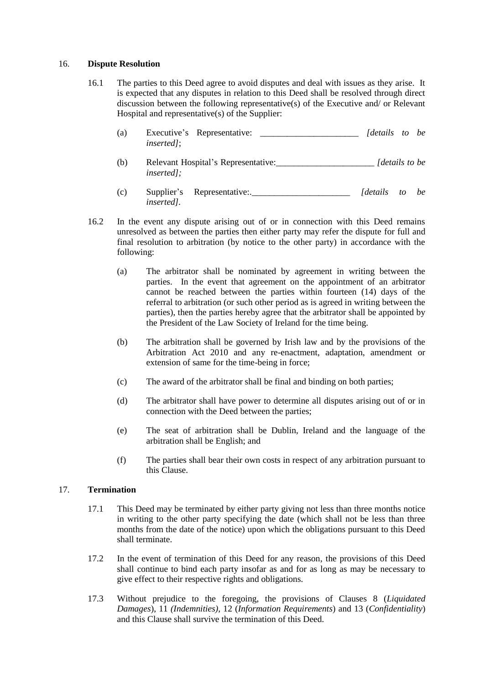### <span id="page-15-2"></span><span id="page-15-0"></span>16. **Dispute Resolution**

- 16.1 The parties to this Deed agree to avoid disputes and deal with issues as they arise. It is expected that any disputes in relation to this Deed shall be resolved through direct discussion between the following representative(s) of the Executive and/ or Relevant Hospital and representative(s) of the Supplier:
	- (a) Executive's Representative: \_\_\_\_\_\_\_\_\_\_\_\_\_\_\_\_\_\_\_\_\_\_ *[details to be inserted]*;
	- (b) Relevant Hospital's Representative:\_\_\_\_\_\_\_\_\_\_\_\_\_\_\_\_\_\_\_\_\_\_ *[details to be inserted];*
	- (c) Supplier's Representative:.\_\_\_\_\_\_\_\_\_\_\_\_\_\_\_\_\_\_\_\_\_\_ *[details to be inserted].*
- 16.2 In the event any dispute arising out of or in connection with this Deed remains unresolved as between the parties then either party may refer the dispute for full and final resolution to arbitration (by notice to the other party) in accordance with the following:
	- (a) The arbitrator shall be nominated by agreement in writing between the parties. In the event that agreement on the appointment of an arbitrator cannot be reached between the parties within fourteen (14) days of the referral to arbitration (or such other period as is agreed in writing between the parties), then the parties hereby agree that the arbitrator shall be appointed by the President of the Law Society of Ireland for the time being.
	- (b) The arbitration shall be governed by Irish law and by the provisions of the Arbitration Act 2010 and any re-enactment, adaptation, amendment or extension of same for the time-being in force;
	- (c) The award of the arbitrator shall be final and binding on both parties;
	- (d) The arbitrator shall have power to determine all disputes arising out of or in connection with the Deed between the parties;
	- (e) The seat of arbitration shall be Dublin, Ireland and the language of the arbitration shall be English; and
	- (f) The parties shall bear their own costs in respect of any arbitration pursuant to this Clause.

### <span id="page-15-1"></span>17. **Termination**

- 17.1 This Deed may be terminated by either party giving not less than three months notice in writing to the other party specifying the date (which shall not be less than three months from the date of the notice) upon which the obligations pursuant to this Deed shall terminate.
- 17.2 In the event of termination of this Deed for any reason, the provisions of this Deed shall continue to bind each party insofar as and for as long as may be necessary to give effect to their respective rights and obligations.
- 17.3 Without prejudice to the foregoing, the provisions of Clauses [8](#page-9-1) (*Liquidated Damages*), [11](#page-11-2) *(Indemnities),* [12](#page-12-2) (*Information Requirements*) and [13](#page-13-2) (*Confidentiality*) and this Clause shall survive the termination of this Deed.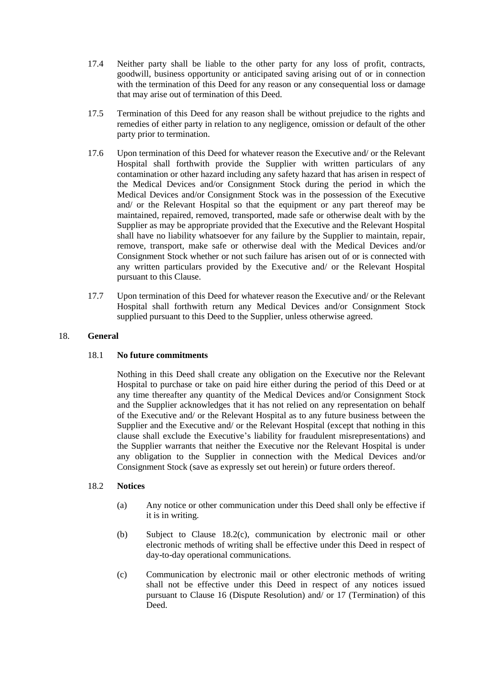- <span id="page-16-0"></span>17.4 Neither party shall be liable to the other party for any loss of profit, contracts, goodwill, business opportunity or anticipated saving arising out of or in connection with the termination of this Deed for any reason or any consequential loss or damage that may arise out of termination of this Deed.
- 17.5 Termination of this Deed for any reason shall be without prejudice to the rights and remedies of either party in relation to any negligence, omission or default of the other party prior to termination.
- 17.6 Upon termination of this Deed for whatever reason the Executive and/ or the Relevant Hospital shall forthwith provide the Supplier with written particulars of any contamination or other hazard including any safety hazard that has arisen in respect of the Medical Devices and/or Consignment Stock during the period in which the Medical Devices and/or Consignment Stock was in the possession of the Executive and/ or the Relevant Hospital so that the equipment or any part thereof may be maintained, repaired, removed, transported, made safe or otherwise dealt with by the Supplier as may be appropriate provided that the Executive and the Relevant Hospital shall have no liability whatsoever for any failure by the Supplier to maintain, repair, remove, transport, make safe or otherwise deal with the Medical Devices and/or Consignment Stock whether or not such failure has arisen out of or is connected with any written particulars provided by the Executive and/ or the Relevant Hospital pursuant to this Clause.
- 17.7 Upon termination of this Deed for whatever reason the Executive and/ or the Relevant Hospital shall forthwith return any Medical Devices and/or Consignment Stock supplied pursuant to this Deed to the Supplier, unless otherwise agreed.

## 18. **General**

### 18.1 **No future commitments**

Nothing in this Deed shall create any obligation on the Executive nor the Relevant Hospital to purchase or take on paid hire either during the period of this Deed or at any time thereafter any quantity of the Medical Devices and/or Consignment Stock and the Supplier acknowledges that it has not relied on any representation on behalf of the Executive and/ or the Relevant Hospital as to any future business between the Supplier and the Executive and/ or the Relevant Hospital (except that nothing in this clause shall exclude the Executive's liability for fraudulent misrepresentations) and the Supplier warrants that neither the Executive nor the Relevant Hospital is under any obligation to the Supplier in connection with the Medical Devices and/or Consignment Stock (save as expressly set out herein) or future orders thereof.

# <span id="page-16-1"></span>18.2 **Notices**

- (a) Any notice or other communication under this Deed shall only be effective if it is in writing.
- (b) Subject to Clause [18.2\(c\),](#page-16-1) communication by electronic mail or other electronic methods of writing shall be effective under this Deed in respect of day-to-day operational communications.
- (c) Communication by electronic mail or other electronic methods of writing shall not be effective under this Deed in respect of any notices issued pursuant to Clause [16](#page-15-2) (Dispute Resolution) and/ or [17](#page-15-1) (Termination) of this Deed.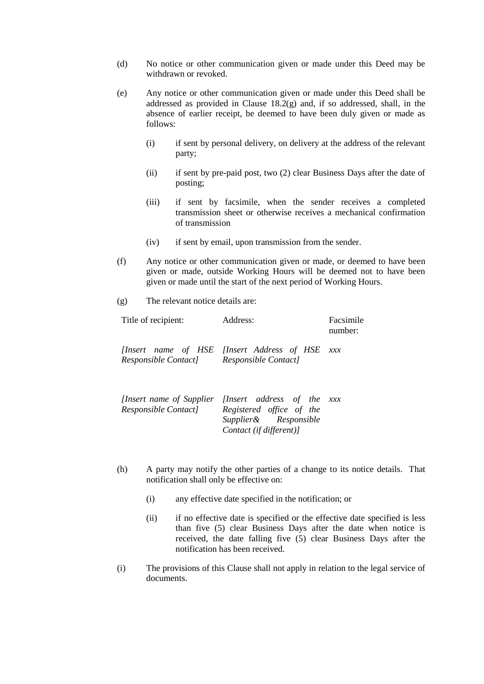- (d) No notice or other communication given or made under this Deed may be withdrawn or revoked.
- (e) Any notice or other communication given or made under this Deed shall be addressed as provided in Clause [18.2\(g\)](#page-16-1) and, if so addressed, shall, in the absence of earlier receipt, be deemed to have been duly given or made as follows:
	- (i) if sent by personal delivery, on delivery at the address of the relevant party;
	- (ii) if sent by pre-paid post, two (2) clear Business Days after the date of posting;
	- (iii) if sent by facsimile, when the sender receives a completed transmission sheet or otherwise receives a mechanical confirmation of transmission
	- (iv) if sent by email, upon transmission from the sender.
- (f) Any notice or other communication given or made, or deemed to have been given or made, outside Working Hours will be deemed not to have been given or made until the start of the next period of Working Hours.
- (g) The relevant notice details are:

| Title of recipient:                     | Address:                                                                                                                           | Facsimile<br>number: |
|-----------------------------------------|------------------------------------------------------------------------------------------------------------------------------------|----------------------|
| Responsible Contact Responsible Contact | [Insert name of HSE [Insert Address of HSE xxx                                                                                     |                      |
|                                         | <i>Insert name of Supplier Insert address of the xxx</i><br>Responsible Contact] Registered office of the<br>Supplier& Responsible |                      |

(h) A party may notify the other parties of a change to its notice details. That notification shall only be effective on:

*Contact (if different)]*

- (i) any effective date specified in the notification; or
- (ii) if no effective date is specified or the effective date specified is less than five (5) clear Business Days after the date when notice is received, the date falling five (5) clear Business Days after the notification has been received.
- (i) The provisions of this Clause shall not apply in relation to the legal service of documents.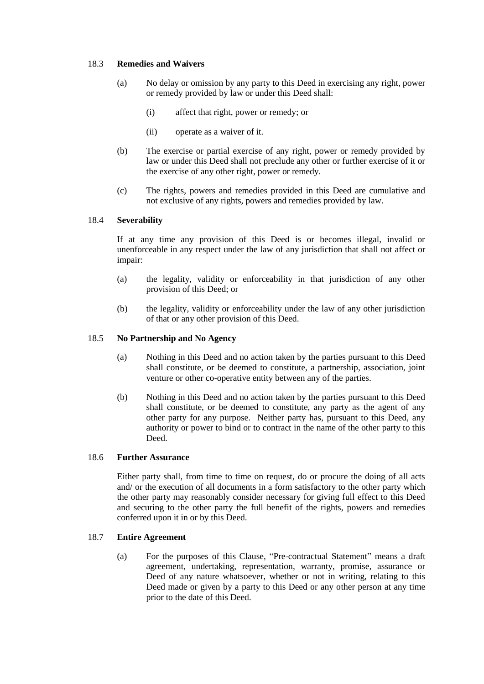### 18.3 **Remedies and Waivers**

- (a) No delay or omission by any party to this Deed in exercising any right, power or remedy provided by law or under this Deed shall:
	- (i) affect that right, power or remedy; or
	- (ii) operate as a waiver of it.
- (b) The exercise or partial exercise of any right, power or remedy provided by law or under this Deed shall not preclude any other or further exercise of it or the exercise of any other right, power or remedy.
- (c) The rights, powers and remedies provided in this Deed are cumulative and not exclusive of any rights, powers and remedies provided by law.

#### 18.4 **Severability**

If at any time any provision of this Deed is or becomes illegal, invalid or unenforceable in any respect under the law of any jurisdiction that shall not affect or impair:

- (a) the legality, validity or enforceability in that jurisdiction of any other provision of this Deed; or
- (b) the legality, validity or enforceability under the law of any other jurisdiction of that or any other provision of this Deed.

### 18.5 **No Partnership and No Agency**

- (a) Nothing in this Deed and no action taken by the parties pursuant to this Deed shall constitute, or be deemed to constitute, a partnership, association, joint venture or other co-operative entity between any of the parties.
- (b) Nothing in this Deed and no action taken by the parties pursuant to this Deed shall constitute, or be deemed to constitute, any party as the agent of any other party for any purpose. Neither party has, pursuant to this Deed, any authority or power to bind or to contract in the name of the other party to this Deed.

### 18.6 **Further Assurance**

Either party shall, from time to time on request, do or procure the doing of all acts and/ or the execution of all documents in a form satisfactory to the other party which the other party may reasonably consider necessary for giving full effect to this Deed and securing to the other party the full benefit of the rights, powers and remedies conferred upon it in or by this Deed.

### <span id="page-18-0"></span>18.7 **Entire Agreement**

(a) For the purposes of this Clause, "Pre-contractual Statement" means a draft agreement, undertaking, representation, warranty, promise, assurance or Deed of any nature whatsoever, whether or not in writing, relating to this Deed made or given by a party to this Deed or any other person at any time prior to the date of this Deed.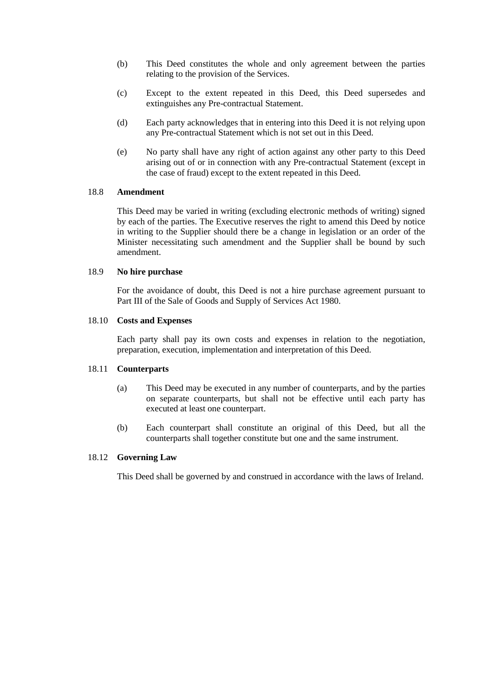- (b) This Deed constitutes the whole and only agreement between the parties relating to the provision of the Services.
- (c) Except to the extent repeated in this Deed, this Deed supersedes and extinguishes any Pre-contractual Statement.
- (d) Each party acknowledges that in entering into this Deed it is not relying upon any Pre-contractual Statement which is not set out in this Deed.
- (e) No party shall have any right of action against any other party to this Deed arising out of or in connection with any Pre-contractual Statement (except in the case of fraud) except to the extent repeated in this Deed.

## 18.8 **Amendment**

This Deed may be varied in writing (excluding electronic methods of writing) signed by each of the parties. The Executive reserves the right to amend this Deed by notice in writing to the Supplier should there be a change in legislation or an order of the Minister necessitating such amendment and the Supplier shall be bound by such amendment.

### 18.9 **No hire purchase**

For the avoidance of doubt, this Deed is not a hire purchase agreement pursuant to Part III of the Sale of Goods and Supply of Services Act 1980.

#### 18.10 **Costs and Expenses**

Each party shall pay its own costs and expenses in relation to the negotiation, preparation, execution, implementation and interpretation of this Deed.

## 18.11 **Counterparts**

- (a) This Deed may be executed in any number of counterparts, and by the parties on separate counterparts, but shall not be effective until each party has executed at least one counterpart.
- (b) Each counterpart shall constitute an original of this Deed, but all the counterparts shall together constitute but one and the same instrument.

## 18.12 **Governing Law**

This Deed shall be governed by and construed in accordance with the laws of Ireland.